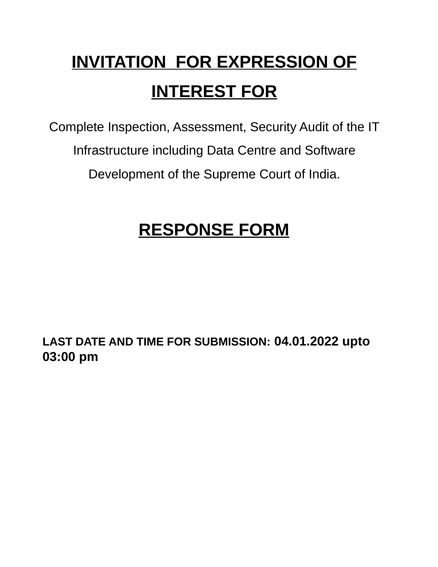# **INVITATION FOR EXPRESSION OF INTEREST FOR**

Complete Inspection, Assessment, Security Audit of the IT Infrastructure including Data Centre and Software Development of the Supreme Court of India.

## **RESPONSE FORM**

**LAST DATE AND TIME FOR SUBMISSION: 04.01.2022 upto 03:00 pm**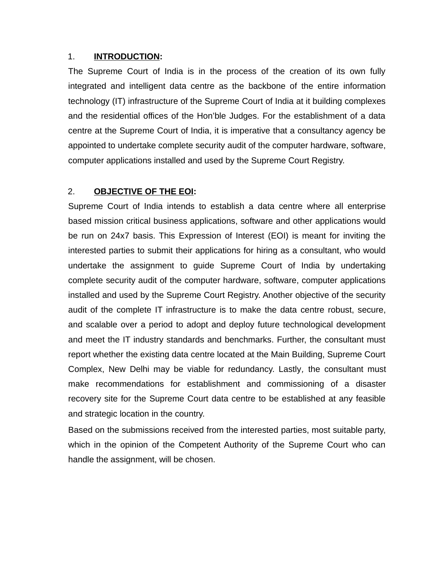#### 1. **INTRODUCTION:**

The Supreme Court of India is in the process of the creation of its own fully integrated and intelligent data centre as the backbone of the entire information technology (IT) infrastructure of the Supreme Court of India at it building complexes and the residential offices of the Hon'ble Judges. For the establishment of a data centre at the Supreme Court of India, it is imperative that a consultancy agency be appointed to undertake complete security audit of the computer hardware, software, computer applications installed and used by the Supreme Court Registry.

## 2. **OBJECTIVE OF THE EOI:**

Supreme Court of India intends to establish a data centre where all enterprise based mission critical business applications, software and other applications would be run on 24x7 basis. This Expression of Interest (EOI) is meant for inviting the interested parties to submit their applications for hiring as a consultant, who would undertake the assignment to guide Supreme Court of India by undertaking complete security audit of the computer hardware, software, computer applications installed and used by the Supreme Court Registry. Another objective of the security audit of the complete IT infrastructure is to make the data centre robust, secure, and scalable over a period to adopt and deploy future technological development and meet the IT industry standards and benchmarks. Further, the consultant must report whether the existing data centre located at the Main Building, Supreme Court Complex, New Delhi may be viable for redundancy. Lastly*,* the consultant must make recommendations for establishment and commissioning of a disaster recovery site for the Supreme Court data centre to be established at any feasible and strategic location in the country.

Based on the submissions received from the interested parties, most suitable party, which in the opinion of the Competent Authority of the Supreme Court who can handle the assignment, will be chosen.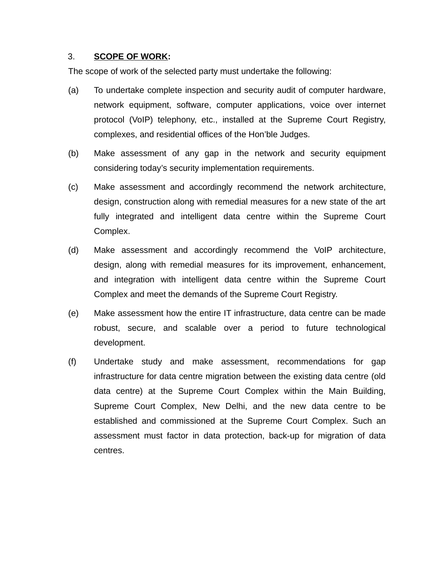#### 3. **SCOPE OF WORK:**

The scope of work of the selected party must undertake the following:

- (a) To undertake complete inspection and security audit of computer hardware, network equipment, software, computer applications, voice over internet protocol (VoIP) telephony, etc., installed at the Supreme Court Registry, complexes, and residential offices of the Hon'ble Judges.
- (b) Make assessment of any gap in the network and security equipment considering today's security implementation requirements.
- (c) Make assessment and accordingly recommend the network architecture, design, construction along with remedial measures for a new state of the art fully integrated and intelligent data centre within the Supreme Court Complex.
- (d) Make assessment and accordingly recommend the VoIP architecture, design, along with remedial measures for its improvement, enhancement, and integration with intelligent data centre within the Supreme Court Complex and meet the demands of the Supreme Court Registry.
- (e) Make assessment how the entire IT infrastructure, data centre can be made robust, secure, and scalable over a period to future technological development.
- (f) Undertake study and make assessment, recommendations for gap infrastructure for data centre migration between the existing data centre (old data centre) at the Supreme Court Complex within the Main Building, Supreme Court Complex, New Delhi, and the new data centre to be established and commissioned at the Supreme Court Complex. Such an assessment must factor in data protection, back-up for migration of data centres.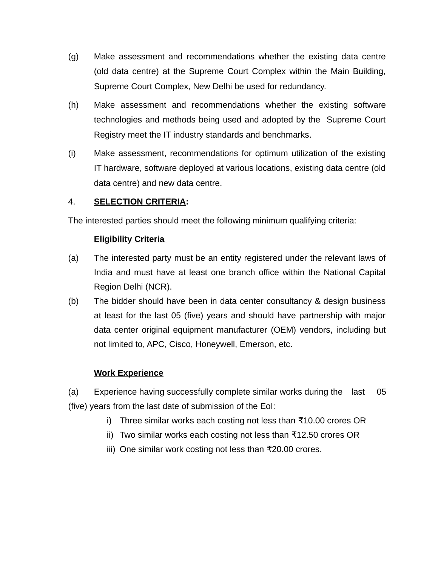- (g) Make assessment and recommendations whether the existing data centre (old data centre) at the Supreme Court Complex within the Main Building, Supreme Court Complex, New Delhi be used for redundancy.
- (h) Make assessment and recommendations whether the existing software technologies and methods being used and adopted by the Supreme Court Registry meet the IT industry standards and benchmarks.
- (i) Make assessment, recommendations for optimum utilization of the existing IT hardware, software deployed at various locations, existing data centre (old data centre) and new data centre.

## 4. **SELECTION CRITERIA:**

The interested parties should meet the following minimum qualifying criteria:

## **Eligibility Criteria**

- (a) The interested party must be an entity registered under the relevant laws of India and must have at least one branch office within the National Capital Region Delhi (NCR).
- (b) The bidder should have been in data center consultancy & design business at least for the last 05 (five) years and should have partnership with major data center original equipment manufacturer (OEM) vendors, including but not limited to, APC, Cisco, Honeywell, Emerson, etc.

#### **Work Experience**

(a) Experience having successfully complete similar works during the last 05 (five) years from the last date of submission of the EoI:

- i) Three similar works each costing not less than  $\overline{x}$ 10.00 crores OR
- ii) Two similar works each costing not less than  $\overline{12.50}$  crores OR
- iii) One similar work costing not less than  $\overline{x}$ 20.00 crores.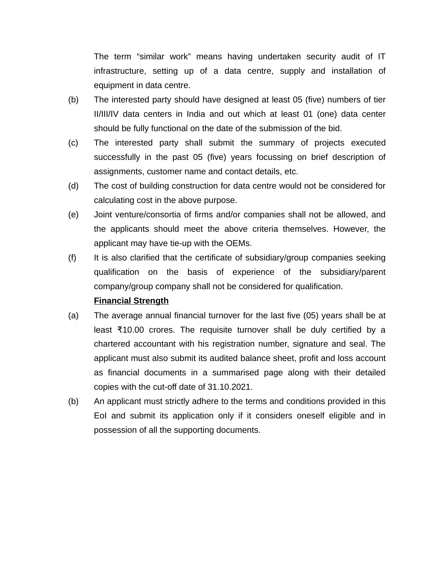The term "similar work" means having undertaken security audit of IT infrastructure, setting up of a data centre, supply and installation of equipment in data centre.

- (b) The interested party should have designed at least 05 (five) numbers of tier II/III/IV data centers in India and out which at least 01 (one) data center should be fully functional on the date of the submission of the bid.
- (c) The interested party shall submit the summary of projects executed successfully in the past 05 (five) years focussing on brief description of assignments, customer name and contact details, etc.
- (d) The cost of building construction for data centre would not be considered for calculating cost in the above purpose.
- (e) Joint venture/consortia of firms and/or companies shall not be allowed, and the applicants should meet the above criteria themselves. However, the applicant may have tie-up with the OEMs.
- (f) It is also clarified that the certificate of subsidiary/group companies seeking qualification on the basis of experience of the subsidiary/parent company/group company shall not be considered for qualification.

## **Financial Strength**

- (a) The average annual financial turnover for the last five (05) years shall be at least  $\overline{x}10.00$  crores. The requisite turnover shall be duly certified by a chartered accountant with his registration number, signature and seal. The applicant must also submit its audited balance sheet, profit and loss account as financial documents in a summarised page along with their detailed copies with the cut-off date of 31.10.2021.
- (b) An applicant must strictly adhere to the terms and conditions provided in this EoI and submit its application only if it considers oneself eligible and in possession of all the supporting documents.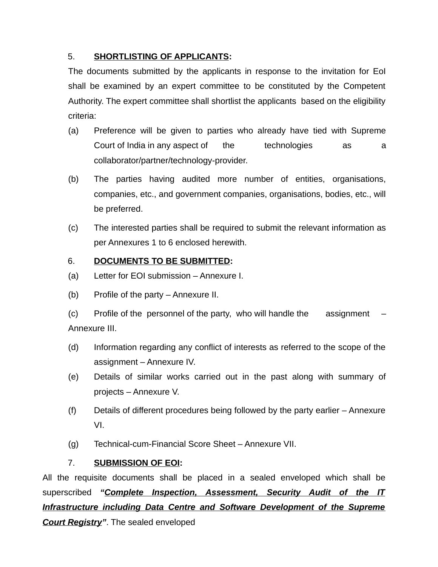## 5. **SHORTLISTING OF APPLICANTS:**

The documents submitted by the applicants in response to the invitation for EoI shall be examined by an expert committee to be constituted by the Competent Authority. The expert committee shall shortlist the applicants based on the eligibility criteria:

- (a) Preference will be given to parties who already have tied with Supreme Court of India in any aspect of the technologies as a collaborator/partner/technology-provider.
- (b) The parties having audited more number of entities, organisations, companies, etc., and government companies, organisations, bodies, etc., will be preferred.
- (c) The interested parties shall be required to submit the relevant information as per Annexures 1 to 6 enclosed herewith.

## 6. **DOCUMENTS TO BE SUBMITTED:**

- (a) Letter for EOI submission Annexure I.
- (b) Profile of the party Annexure II.
- $(c)$  Profile of the personnel of the party, who will handle the assignment Annexure III.
- (d) Information regarding any conflict of interests as referred to the scope of the assignment – Annexure IV.
- (e) Details of similar works carried out in the past along with summary of projects – Annexure V.
- (f) Details of different procedures being followed by the party earlier Annexure VI.
- (g) Technical-cum-Financial Score Sheet Annexure VII.

## 7. **SUBMISSION OF EOI:**

All the requisite documents shall be placed in a sealed enveloped which shall be superscribed *"Complete Inspection, Assessment, Security Audit of the IT Infrastructure including Data Centre and Software Development of the Supreme Court Registry"*. The sealed enveloped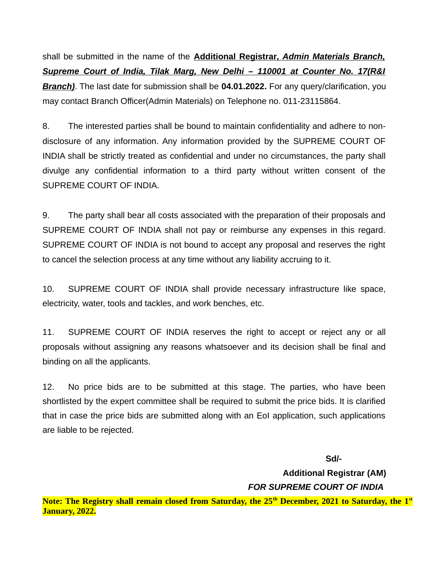shall be submitted in the name of the **Additional Registrar***, Admin Materials Branch, Supreme Court of India, Tilak Marg, New Delhi – 110001 at Counter No. 17(R&I Branch)*. The last date for submission shall be **04.01.2022.** For any query/clarification, you may contact Branch Officer(Admin Materials) on Telephone no. 011-23115864.

8. The interested parties shall be bound to maintain confidentiality and adhere to nondisclosure of any information. Any information provided by the SUPREME COURT OF INDIA shall be strictly treated as confidential and under no circumstances, the party shall divulge any confidential information to a third party without written consent of the SUPREME COURT OF INDIA.

9. The party shall bear all costs associated with the preparation of their proposals and SUPREME COURT OF INDIA shall not pay or reimburse any expenses in this regard. SUPREME COURT OF INDIA is not bound to accept any proposal and reserves the right to cancel the selection process at any time without any liability accruing to it.

10. SUPREME COURT OF INDIA shall provide necessary infrastructure like space, electricity, water, tools and tackles, and work benches, etc.

11. SUPREME COURT OF INDIA reserves the right to accept or reject any or all proposals without assigning any reasons whatsoever and its decision shall be final and binding on all the applicants.

12. No price bids are to be submitted at this stage. The parties, who have been shortlisted by the expert committee shall be required to submit the price bids. It is clarified that in case the price bids are submitted along with an EoI application, such applications are liable to be rejected.

**Sd/- Additional Registrar (AM)** *FOR SUPREME COURT OF INDIA* **Note: The Registry shall remain closed from Saturday, the 25th December, 2021 to Saturday, the 1st January, 2022.**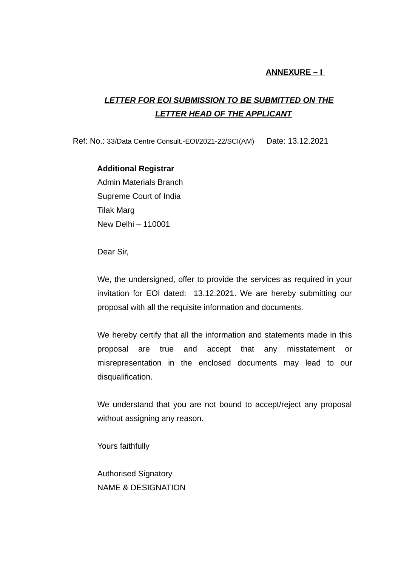#### **ANNEXURE – I**

## *LETTER FOR EOI SUBMISSION TO BE SUBMITTED ON THE LETTER HEAD OF THE APPLICANT*

Ref: No.: 33/Data Centre Consult.-EOI/2021-22/SCI(AM) Date: 13.12.2021

#### **Additional Registrar**

Admin Materials Branch Supreme Court of India Tilak Marg New Delhi – 110001

Dear Sir,

We, the undersigned, offer to provide the services as required in your invitation for EOI dated: 13.12.2021. We are hereby submitting our proposal with all the requisite information and documents.

We hereby certify that all the information and statements made in this proposal are true and accept that any misstatement or misrepresentation in the enclosed documents may lead to our disqualification.

We understand that you are not bound to accept/reject any proposal without assigning any reason.

Yours faithfully

Authorised Signatory NAME & DESIGNATION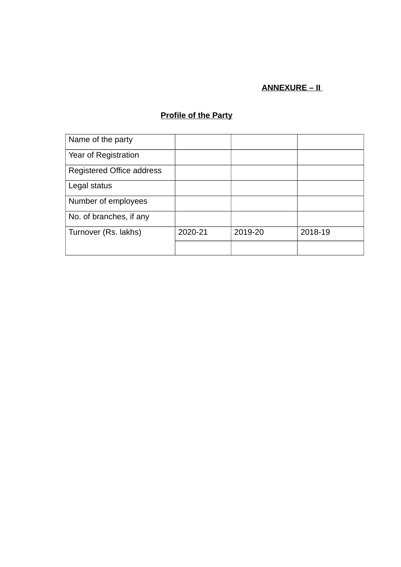## **ANNEXURE – II**

## **Profile of the Party**

| Name of the party         |         |         |         |
|---------------------------|---------|---------|---------|
| Year of Registration      |         |         |         |
| Registered Office address |         |         |         |
| Legal status              |         |         |         |
| Number of employees       |         |         |         |
| No. of branches, if any   |         |         |         |
| Turnover (Rs. lakhs)      | 2020-21 | 2019-20 | 2018-19 |
|                           |         |         |         |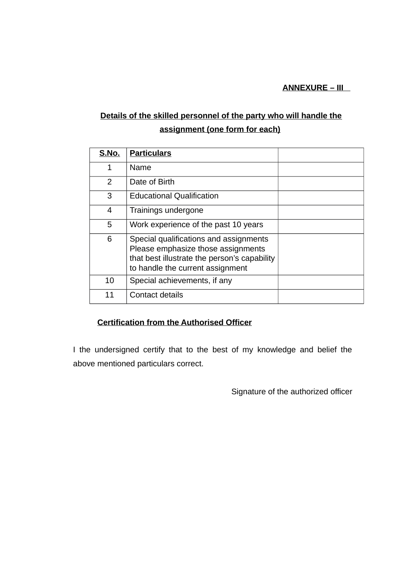**ANNEXURE – III** 

## **Details of the skilled personnel of the party who will handle the assignment (one form for each)**

| S.No. | <b>Particulars</b>                                                                                                                                               |  |
|-------|------------------------------------------------------------------------------------------------------------------------------------------------------------------|--|
| 1     | <b>Name</b>                                                                                                                                                      |  |
| 2     | Date of Birth                                                                                                                                                    |  |
| 3     | <b>Educational Qualification</b>                                                                                                                                 |  |
| 4     | Trainings undergone                                                                                                                                              |  |
| 5     | Work experience of the past 10 years                                                                                                                             |  |
| 6     | Special qualifications and assignments<br>Please emphasize those assignments<br>that best illustrate the person's capability<br>to handle the current assignment |  |
| 10    | Special achievements, if any                                                                                                                                     |  |
| 11    | Contact details                                                                                                                                                  |  |

## **Certification from the Authorised Officer**

I the undersigned certify that to the best of my knowledge and belief the above mentioned particulars correct.

Signature of the authorized officer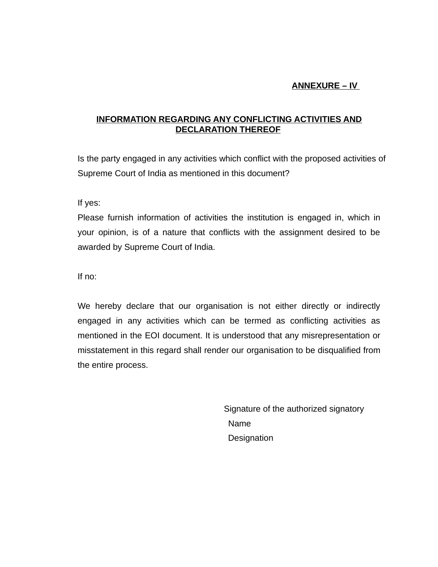## **ANNEXURE – IV**

## **INFORMATION REGARDING ANY CONFLICTING ACTIVITIES AND DECLARATION THEREOF**

Is the party engaged in any activities which conflict with the proposed activities of Supreme Court of India as mentioned in this document?

If yes:

Please furnish information of activities the institution is engaged in, which in your opinion, is of a nature that conflicts with the assignment desired to be awarded by Supreme Court of India.

If no:

We hereby declare that our organisation is not either directly or indirectly engaged in any activities which can be termed as conflicting activities as mentioned in the EOI document. It is understood that any misrepresentation or misstatement in this regard shall render our organisation to be disqualified from the entire process.

> Signature of the authorized signatory Name **Designation**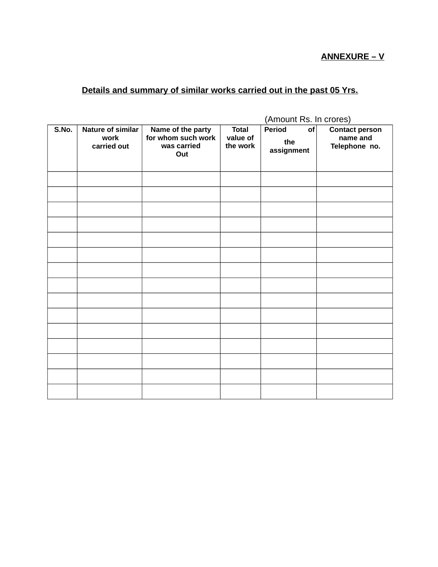**ANNEXURE – V**

## **Details and summary of similar works carried out in the past 05 Yrs.**

|       |                                          | (Amount Rs. In crores)                                        |                                      |                                   |                                                    |
|-------|------------------------------------------|---------------------------------------------------------------|--------------------------------------|-----------------------------------|----------------------------------------------------|
| S.No. | Nature of similar<br>work<br>carried out | Name of the party<br>for whom such work<br>was carried<br>Out | <b>Total</b><br>value of<br>the work | of<br>Period<br>the<br>assignment | <b>Contact person</b><br>name and<br>Telephone no. |
|       |                                          |                                                               |                                      |                                   |                                                    |
|       |                                          |                                                               |                                      |                                   |                                                    |
|       |                                          |                                                               |                                      |                                   |                                                    |
|       |                                          |                                                               |                                      |                                   |                                                    |
|       |                                          |                                                               |                                      |                                   |                                                    |
|       |                                          |                                                               |                                      |                                   |                                                    |
|       |                                          |                                                               |                                      |                                   |                                                    |
|       |                                          |                                                               |                                      |                                   |                                                    |
|       |                                          |                                                               |                                      |                                   |                                                    |
|       |                                          |                                                               |                                      |                                   |                                                    |
|       |                                          |                                                               |                                      |                                   |                                                    |
|       |                                          |                                                               |                                      |                                   |                                                    |
|       |                                          |                                                               |                                      |                                   |                                                    |
|       |                                          |                                                               |                                      |                                   |                                                    |
|       |                                          |                                                               |                                      |                                   |                                                    |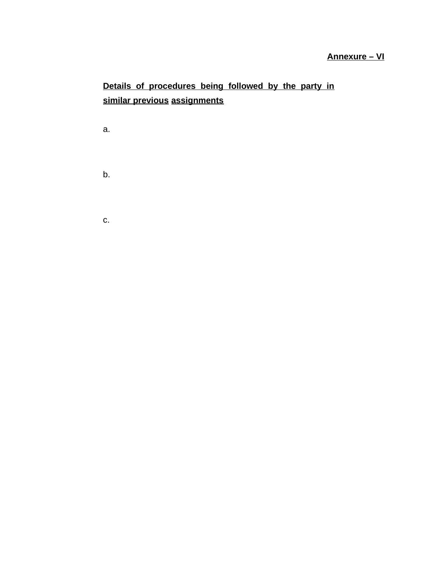## **Annexure – VI**

## **Details of procedures being followed by the party in similar previous assignments**

a.

b.

c.